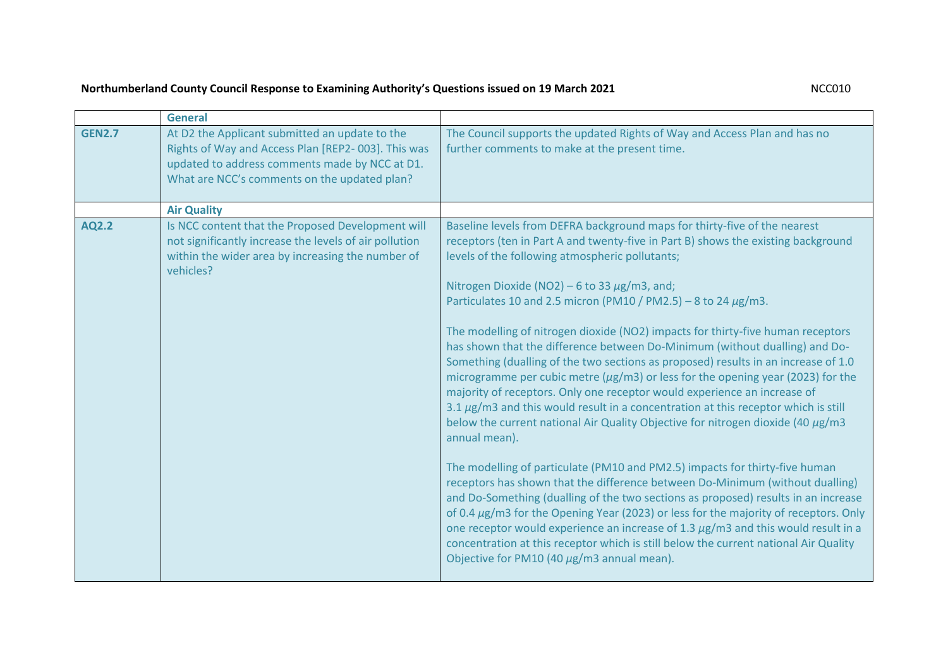## **Northumberland County Council Response to Examining Authority's Questions issued on 19 March 2021** NCC010

| At D2 the Applicant submitted an update to the<br>The Council supports the updated Rights of Way and Access Plan and has no<br><b>GEN2.7</b><br>Rights of Way and Access Plan [REP2-003]. This was<br>further comments to make at the present time.<br>updated to address comments made by NCC at D1.<br>What are NCC's comments on the updated plan?<br><b>Air Quality</b><br>Is NCC content that the Proposed Development will<br>Baseline levels from DEFRA background maps for thirty-five of the nearest<br>AQ2.2                                                                                                                                                                                                                                                                                                                                                                                                                                                                                                                                                                                                                                                                                                                                                                                                                     | <b>General</b> |                                                                                                                                                                                                                                                                           |
|--------------------------------------------------------------------------------------------------------------------------------------------------------------------------------------------------------------------------------------------------------------------------------------------------------------------------------------------------------------------------------------------------------------------------------------------------------------------------------------------------------------------------------------------------------------------------------------------------------------------------------------------------------------------------------------------------------------------------------------------------------------------------------------------------------------------------------------------------------------------------------------------------------------------------------------------------------------------------------------------------------------------------------------------------------------------------------------------------------------------------------------------------------------------------------------------------------------------------------------------------------------------------------------------------------------------------------------------|----------------|---------------------------------------------------------------------------------------------------------------------------------------------------------------------------------------------------------------------------------------------------------------------------|
|                                                                                                                                                                                                                                                                                                                                                                                                                                                                                                                                                                                                                                                                                                                                                                                                                                                                                                                                                                                                                                                                                                                                                                                                                                                                                                                                            |                |                                                                                                                                                                                                                                                                           |
|                                                                                                                                                                                                                                                                                                                                                                                                                                                                                                                                                                                                                                                                                                                                                                                                                                                                                                                                                                                                                                                                                                                                                                                                                                                                                                                                            |                |                                                                                                                                                                                                                                                                           |
| not significantly increase the levels of air pollution<br>receptors (ten in Part A and twenty-five in Part B) shows the existing background<br>within the wider area by increasing the number of<br>levels of the following atmospheric pollutants;<br>vehicles?<br>Nitrogen Dioxide (NO2) – 6 to 33 $\mu$ g/m3, and;<br>Particulates 10 and 2.5 micron (PM10 / PM2.5) - 8 to 24 $\mu$ g/m3.<br>The modelling of nitrogen dioxide (NO2) impacts for thirty-five human receptors<br>has shown that the difference between Do-Minimum (without dualling) and Do-<br>Something (dualling of the two sections as proposed) results in an increase of 1.0<br>microgramme per cubic metre ( $\mu$ g/m3) or less for the opening year (2023) for the<br>majority of receptors. Only one receptor would experience an increase of<br>$3.1 \,\mu$ g/m3 and this would result in a concentration at this receptor which is still<br>below the current national Air Quality Objective for nitrogen dioxide (40 $\mu$ g/m3<br>annual mean).<br>The modelling of particulate (PM10 and PM2.5) impacts for thirty-five human<br>receptors has shown that the difference between Do-Minimum (without dualling)<br>concentration at this receptor which is still below the current national Air Quality<br>Objective for PM10 (40 $\mu$ g/m3 annual mean). |                | and Do-Something (dualling of the two sections as proposed) results in an increase<br>of 0.4 $\mu$ g/m3 for the Opening Year (2023) or less for the majority of receptors. Only<br>one receptor would experience an increase of 1.3 $\mu$ g/m3 and this would result in a |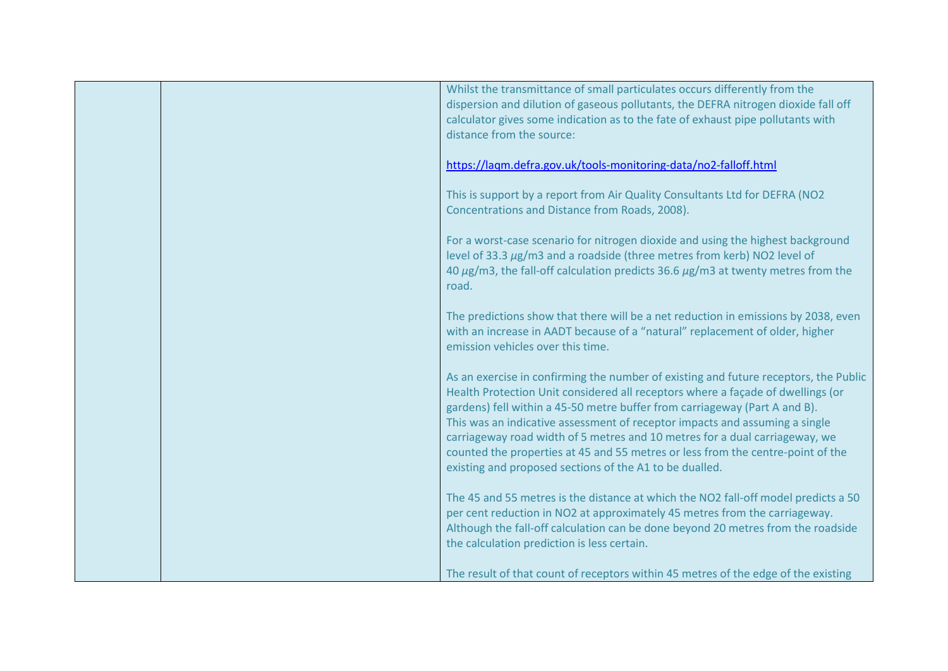|  | Whilst the transmittance of small particulates occurs differently from the<br>dispersion and dilution of gaseous pollutants, the DEFRA nitrogen dioxide fall off<br>calculator gives some indication as to the fate of exhaust pipe pollutants with<br>distance from the source:                                                                                                                                                                                                                                                                                  |
|--|-------------------------------------------------------------------------------------------------------------------------------------------------------------------------------------------------------------------------------------------------------------------------------------------------------------------------------------------------------------------------------------------------------------------------------------------------------------------------------------------------------------------------------------------------------------------|
|  | https://laqm.defra.gov.uk/tools-monitoring-data/no2-falloff.html                                                                                                                                                                                                                                                                                                                                                                                                                                                                                                  |
|  | This is support by a report from Air Quality Consultants Ltd for DEFRA (NO2<br>Concentrations and Distance from Roads, 2008).                                                                                                                                                                                                                                                                                                                                                                                                                                     |
|  | For a worst-case scenario for nitrogen dioxide and using the highest background<br>level of 33.3 µg/m3 and a roadside (three metres from kerb) NO2 level of<br>40 $\mu$ g/m3, the fall-off calculation predicts 36.6 $\mu$ g/m3 at twenty metres from the<br>road.                                                                                                                                                                                                                                                                                                |
|  | The predictions show that there will be a net reduction in emissions by 2038, even<br>with an increase in AADT because of a "natural" replacement of older, higher<br>emission vehicles over this time.                                                                                                                                                                                                                                                                                                                                                           |
|  | As an exercise in confirming the number of existing and future receptors, the Public<br>Health Protection Unit considered all receptors where a façade of dwellings (or<br>gardens) fell within a 45-50 metre buffer from carriageway (Part A and B).<br>This was an indicative assessment of receptor impacts and assuming a single<br>carriageway road width of 5 metres and 10 metres for a dual carriageway, we<br>counted the properties at 45 and 55 metres or less from the centre-point of the<br>existing and proposed sections of the A1 to be dualled. |
|  | The 45 and 55 metres is the distance at which the NO2 fall-off model predicts a 50<br>per cent reduction in NO2 at approximately 45 metres from the carriageway.<br>Although the fall-off calculation can be done beyond 20 metres from the roadside<br>the calculation prediction is less certain.                                                                                                                                                                                                                                                               |
|  | The result of that count of receptors within 45 metres of the edge of the existing                                                                                                                                                                                                                                                                                                                                                                                                                                                                                |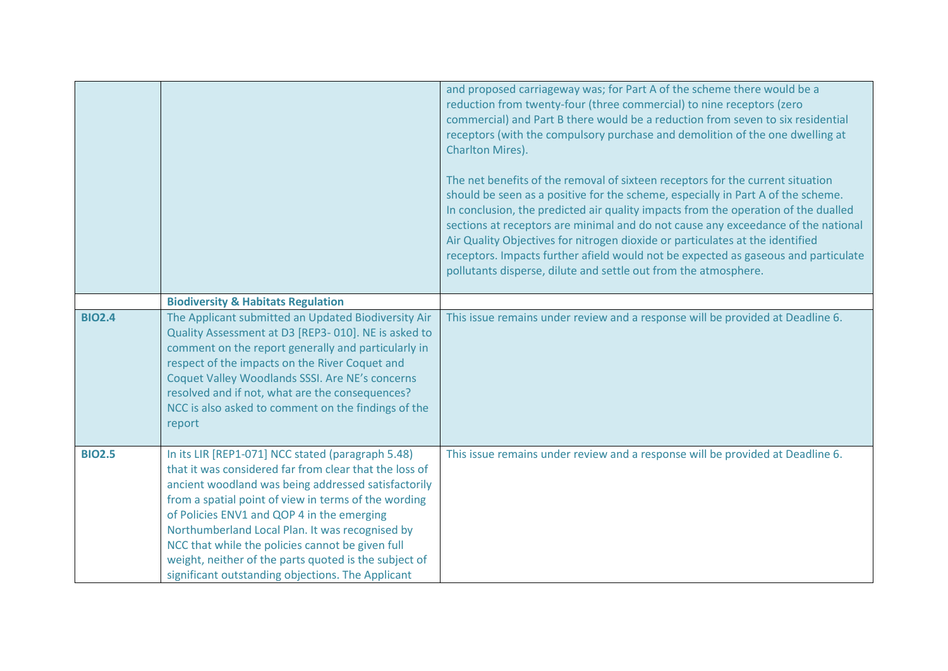|               |                                                                                                                                                                                                                                                                                                                                                                                                                                                                                               | and proposed carriageway was; for Part A of the scheme there would be a<br>reduction from twenty-four (three commercial) to nine receptors (zero<br>commercial) and Part B there would be a reduction from seven to six residential<br>receptors (with the compulsory purchase and demolition of the one dwelling at<br>Charlton Mires).<br>The net benefits of the removal of sixteen receptors for the current situation<br>should be seen as a positive for the scheme, especially in Part A of the scheme.<br>In conclusion, the predicted air quality impacts from the operation of the dualled<br>sections at receptors are minimal and do not cause any exceedance of the national<br>Air Quality Objectives for nitrogen dioxide or particulates at the identified<br>receptors. Impacts further afield would not be expected as gaseous and particulate<br>pollutants disperse, dilute and settle out from the atmosphere. |
|---------------|-----------------------------------------------------------------------------------------------------------------------------------------------------------------------------------------------------------------------------------------------------------------------------------------------------------------------------------------------------------------------------------------------------------------------------------------------------------------------------------------------|-------------------------------------------------------------------------------------------------------------------------------------------------------------------------------------------------------------------------------------------------------------------------------------------------------------------------------------------------------------------------------------------------------------------------------------------------------------------------------------------------------------------------------------------------------------------------------------------------------------------------------------------------------------------------------------------------------------------------------------------------------------------------------------------------------------------------------------------------------------------------------------------------------------------------------------|
| <b>BIO2.4</b> | <b>Biodiversity &amp; Habitats Regulation</b><br>The Applicant submitted an Updated Biodiversity Air<br>Quality Assessment at D3 [REP3-010]. NE is asked to<br>comment on the report generally and particularly in<br>respect of the impacts on the River Coquet and<br>Coquet Valley Woodlands SSSI. Are NE's concerns<br>resolved and if not, what are the consequences?<br>NCC is also asked to comment on the findings of the<br>report                                                   | This issue remains under review and a response will be provided at Deadline 6.                                                                                                                                                                                                                                                                                                                                                                                                                                                                                                                                                                                                                                                                                                                                                                                                                                                      |
| <b>BIO2.5</b> | In its LIR [REP1-071] NCC stated (paragraph 5.48)<br>that it was considered far from clear that the loss of<br>ancient woodland was being addressed satisfactorily<br>from a spatial point of view in terms of the wording<br>of Policies ENV1 and QOP 4 in the emerging<br>Northumberland Local Plan. It was recognised by<br>NCC that while the policies cannot be given full<br>weight, neither of the parts quoted is the subject of<br>significant outstanding objections. The Applicant | This issue remains under review and a response will be provided at Deadline 6.                                                                                                                                                                                                                                                                                                                                                                                                                                                                                                                                                                                                                                                                                                                                                                                                                                                      |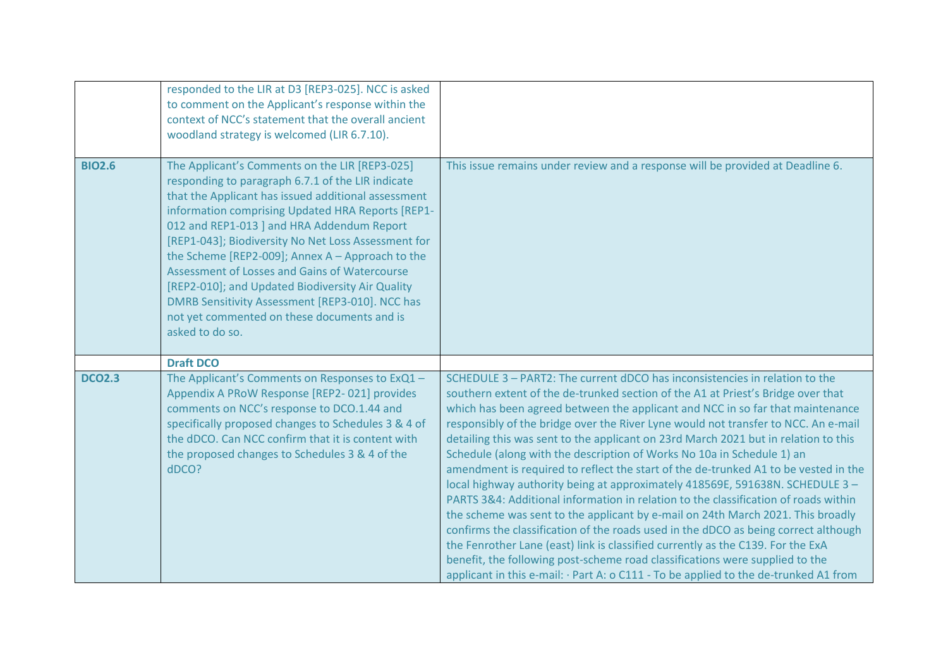|               | responded to the LIR at D3 [REP3-025]. NCC is asked<br>to comment on the Applicant's response within the<br>context of NCC's statement that the overall ancient<br>woodland strategy is welcomed (LIR 6.7.10).                                                                                                                                                                                                                                                                                                                                                                                       |                                                                                                                                                                                                                                                                                                                                                                                                                                                                                                                                                                                                                                                                                                                                                                                                                                                                                                                                                                                                                                                                                                                                                                                                              |
|---------------|------------------------------------------------------------------------------------------------------------------------------------------------------------------------------------------------------------------------------------------------------------------------------------------------------------------------------------------------------------------------------------------------------------------------------------------------------------------------------------------------------------------------------------------------------------------------------------------------------|--------------------------------------------------------------------------------------------------------------------------------------------------------------------------------------------------------------------------------------------------------------------------------------------------------------------------------------------------------------------------------------------------------------------------------------------------------------------------------------------------------------------------------------------------------------------------------------------------------------------------------------------------------------------------------------------------------------------------------------------------------------------------------------------------------------------------------------------------------------------------------------------------------------------------------------------------------------------------------------------------------------------------------------------------------------------------------------------------------------------------------------------------------------------------------------------------------------|
| <b>BIO2.6</b> | The Applicant's Comments on the LIR [REP3-025]<br>responding to paragraph 6.7.1 of the LIR indicate<br>that the Applicant has issued additional assessment<br>information comprising Updated HRA Reports [REP1-<br>012 and REP1-013 ] and HRA Addendum Report<br>[REP1-043]; Biodiversity No Net Loss Assessment for<br>the Scheme [REP2-009]; Annex $A -$ Approach to the<br>Assessment of Losses and Gains of Watercourse<br>[REP2-010]; and Updated Biodiversity Air Quality<br>DMRB Sensitivity Assessment [REP3-010]. NCC has<br>not yet commented on these documents and is<br>asked to do so. | This issue remains under review and a response will be provided at Deadline 6.                                                                                                                                                                                                                                                                                                                                                                                                                                                                                                                                                                                                                                                                                                                                                                                                                                                                                                                                                                                                                                                                                                                               |
|               | <b>Draft DCO</b>                                                                                                                                                                                                                                                                                                                                                                                                                                                                                                                                                                                     |                                                                                                                                                                                                                                                                                                                                                                                                                                                                                                                                                                                                                                                                                                                                                                                                                                                                                                                                                                                                                                                                                                                                                                                                              |
| <b>DCO2.3</b> | The Applicant's Comments on Responses to ExQ1 -<br>Appendix A PRoW Response [REP2-021] provides<br>comments on NCC's response to DCO.1.44 and<br>specifically proposed changes to Schedules 3 & 4 of<br>the dDCO. Can NCC confirm that it is content with<br>the proposed changes to Schedules 3 & 4 of the<br>dDCO?                                                                                                                                                                                                                                                                                 | SCHEDULE 3 - PART2: The current dDCO has inconsistencies in relation to the<br>southern extent of the de-trunked section of the A1 at Priest's Bridge over that<br>which has been agreed between the applicant and NCC in so far that maintenance<br>responsibly of the bridge over the River Lyne would not transfer to NCC. An e-mail<br>detailing this was sent to the applicant on 23rd March 2021 but in relation to this<br>Schedule (along with the description of Works No 10a in Schedule 1) an<br>amendment is required to reflect the start of the de-trunked A1 to be vested in the<br>local highway authority being at approximately 418569E, 591638N. SCHEDULE 3 -<br>PARTS 3&4: Additional information in relation to the classification of roads within<br>the scheme was sent to the applicant by e-mail on 24th March 2021. This broadly<br>confirms the classification of the roads used in the dDCO as being correct although<br>the Fenrother Lane (east) link is classified currently as the C139. For the ExA<br>benefit, the following post-scheme road classifications were supplied to the<br>applicant in this e-mail: · Part A: o C111 - To be applied to the de-trunked A1 from |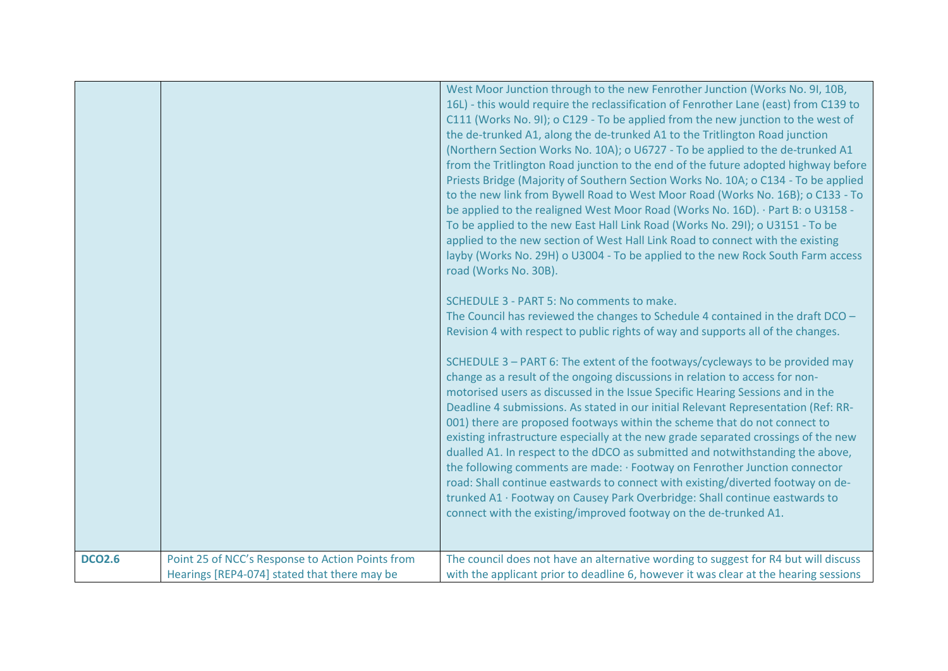|               |                                                                                                  | West Moor Junction through to the new Fenrother Junction (Works No. 9I, 10B,<br>16L) - this would require the reclassification of Fenrother Lane (east) from C139 to<br>C111 (Works No. 9I); o C129 - To be applied from the new junction to the west of<br>the de-trunked A1, along the de-trunked A1 to the Tritlington Road junction<br>(Northern Section Works No. 10A); o U6727 - To be applied to the de-trunked A1<br>from the Tritlington Road junction to the end of the future adopted highway before<br>Priests Bridge (Majority of Southern Section Works No. 10A; o C134 - To be applied<br>to the new link from Bywell Road to West Moor Road (Works No. 16B); o C133 - To<br>be applied to the realigned West Moor Road (Works No. 16D). · Part B: o U3158 -<br>To be applied to the new East Hall Link Road (Works No. 29I); o U3151 - To be<br>applied to the new section of West Hall Link Road to connect with the existing<br>layby (Works No. 29H) o U3004 - To be applied to the new Rock South Farm access<br>road (Works No. 30B).<br>SCHEDULE 3 - PART 5: No comments to make.<br>The Council has reviewed the changes to Schedule 4 contained in the draft DCO -<br>Revision 4 with respect to public rights of way and supports all of the changes.<br>SCHEDULE 3 - PART 6: The extent of the footways/cycleways to be provided may<br>change as a result of the ongoing discussions in relation to access for non-<br>motorised users as discussed in the Issue Specific Hearing Sessions and in the<br>Deadline 4 submissions. As stated in our initial Relevant Representation (Ref: RR-<br>001) there are proposed footways within the scheme that do not connect to<br>existing infrastructure especially at the new grade separated crossings of the new<br>dualled A1. In respect to the dDCO as submitted and notwithstanding the above,<br>the following comments are made: · Footway on Fenrother Junction connector<br>road: Shall continue eastwards to connect with existing/diverted footway on de-<br>trunked A1 · Footway on Causey Park Overbridge: Shall continue eastwards to<br>connect with the existing/improved footway on the de-trunked A1. |
|---------------|--------------------------------------------------------------------------------------------------|-------------------------------------------------------------------------------------------------------------------------------------------------------------------------------------------------------------------------------------------------------------------------------------------------------------------------------------------------------------------------------------------------------------------------------------------------------------------------------------------------------------------------------------------------------------------------------------------------------------------------------------------------------------------------------------------------------------------------------------------------------------------------------------------------------------------------------------------------------------------------------------------------------------------------------------------------------------------------------------------------------------------------------------------------------------------------------------------------------------------------------------------------------------------------------------------------------------------------------------------------------------------------------------------------------------------------------------------------------------------------------------------------------------------------------------------------------------------------------------------------------------------------------------------------------------------------------------------------------------------------------------------------------------------------------------------------------------------------------------------------------------------------------------------------------------------------------------------------------------------------------------------------------------------------------------------------------------------------------------------------------------------------------------------------------------------------------------------------------------------------------------------------------------------------------------------------|
| <b>DCO2.6</b> | Point 25 of NCC's Response to Action Points from<br>Hearings [REP4-074] stated that there may be | The council does not have an alternative wording to suggest for R4 but will discuss<br>with the applicant prior to deadline 6, however it was clear at the hearing sessions                                                                                                                                                                                                                                                                                                                                                                                                                                                                                                                                                                                                                                                                                                                                                                                                                                                                                                                                                                                                                                                                                                                                                                                                                                                                                                                                                                                                                                                                                                                                                                                                                                                                                                                                                                                                                                                                                                                                                                                                                     |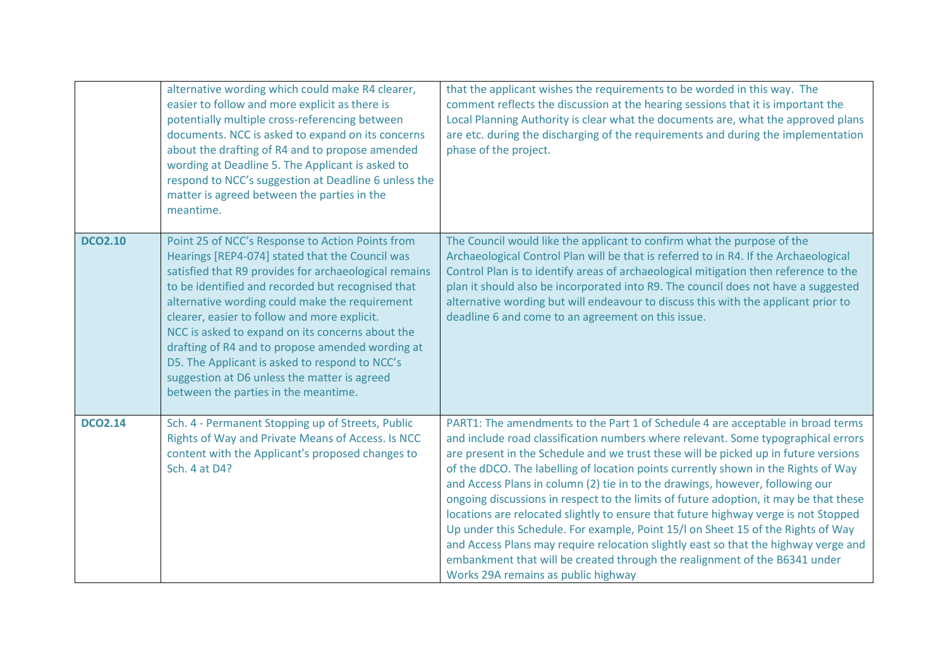|                | alternative wording which could make R4 clearer,<br>easier to follow and more explicit as there is<br>potentially multiple cross-referencing between<br>documents. NCC is asked to expand on its concerns<br>about the drafting of R4 and to propose amended<br>wording at Deadline 5. The Applicant is asked to<br>respond to NCC's suggestion at Deadline 6 unless the<br>matter is agreed between the parties in the<br>meantime.                                                                                                                                  | that the applicant wishes the requirements to be worded in this way. The<br>comment reflects the discussion at the hearing sessions that it is important the<br>Local Planning Authority is clear what the documents are, what the approved plans<br>are etc. during the discharging of the requirements and during the implementation<br>phase of the project.                                                                                                                                                                                                                                                                                                                                                                                                                                                                                                                                                    |
|----------------|-----------------------------------------------------------------------------------------------------------------------------------------------------------------------------------------------------------------------------------------------------------------------------------------------------------------------------------------------------------------------------------------------------------------------------------------------------------------------------------------------------------------------------------------------------------------------|--------------------------------------------------------------------------------------------------------------------------------------------------------------------------------------------------------------------------------------------------------------------------------------------------------------------------------------------------------------------------------------------------------------------------------------------------------------------------------------------------------------------------------------------------------------------------------------------------------------------------------------------------------------------------------------------------------------------------------------------------------------------------------------------------------------------------------------------------------------------------------------------------------------------|
| <b>DCO2.10</b> | Point 25 of NCC's Response to Action Points from<br>Hearings [REP4-074] stated that the Council was<br>satisfied that R9 provides for archaeological remains<br>to be identified and recorded but recognised that<br>alternative wording could make the requirement<br>clearer, easier to follow and more explicit.<br>NCC is asked to expand on its concerns about the<br>drafting of R4 and to propose amended wording at<br>D5. The Applicant is asked to respond to NCC's<br>suggestion at D6 unless the matter is agreed<br>between the parties in the meantime. | The Council would like the applicant to confirm what the purpose of the<br>Archaeological Control Plan will be that is referred to in R4. If the Archaeological<br>Control Plan is to identify areas of archaeological mitigation then reference to the<br>plan it should also be incorporated into R9. The council does not have a suggested<br>alternative wording but will endeavour to discuss this with the applicant prior to<br>deadline 6 and come to an agreement on this issue.                                                                                                                                                                                                                                                                                                                                                                                                                          |
| <b>DCO2.14</b> | Sch. 4 - Permanent Stopping up of Streets, Public<br>Rights of Way and Private Means of Access. Is NCC<br>content with the Applicant's proposed changes to<br>Sch. 4 at D4?                                                                                                                                                                                                                                                                                                                                                                                           | PART1: The amendments to the Part 1 of Schedule 4 are acceptable in broad terms<br>and include road classification numbers where relevant. Some typographical errors<br>are present in the Schedule and we trust these will be picked up in future versions<br>of the dDCO. The labelling of location points currently shown in the Rights of Way<br>and Access Plans in column (2) tie in to the drawings, however, following our<br>ongoing discussions in respect to the limits of future adoption, it may be that these<br>locations are relocated slightly to ensure that future highway verge is not Stopped<br>Up under this Schedule. For example, Point 15/I on Sheet 15 of the Rights of Way<br>and Access Plans may require relocation slightly east so that the highway verge and<br>embankment that will be created through the realignment of the B6341 under<br>Works 29A remains as public highway |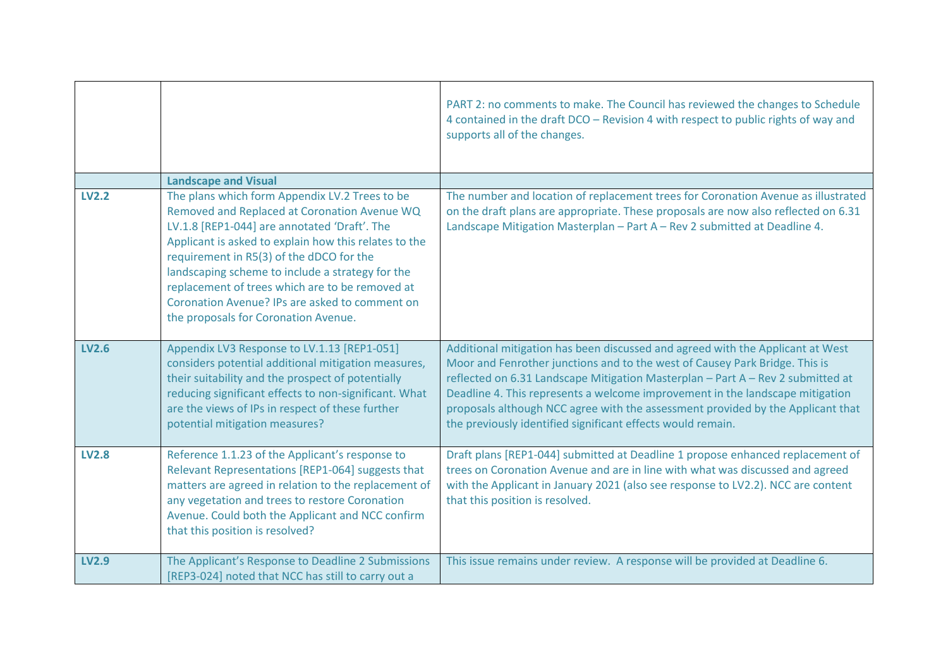|              |                                                                                                                                                                                                                                                                                                                                                                                                                                                      | PART 2: no comments to make. The Council has reviewed the changes to Schedule<br>4 contained in the draft DCO - Revision 4 with respect to public rights of way and<br>supports all of the changes.                                                                                                                                                                                                                                                                                 |
|--------------|------------------------------------------------------------------------------------------------------------------------------------------------------------------------------------------------------------------------------------------------------------------------------------------------------------------------------------------------------------------------------------------------------------------------------------------------------|-------------------------------------------------------------------------------------------------------------------------------------------------------------------------------------------------------------------------------------------------------------------------------------------------------------------------------------------------------------------------------------------------------------------------------------------------------------------------------------|
|              | <b>Landscape and Visual</b>                                                                                                                                                                                                                                                                                                                                                                                                                          |                                                                                                                                                                                                                                                                                                                                                                                                                                                                                     |
| <b>LV2.2</b> | The plans which form Appendix LV.2 Trees to be<br>Removed and Replaced at Coronation Avenue WQ<br>LV.1.8 [REP1-044] are annotated 'Draft'. The<br>Applicant is asked to explain how this relates to the<br>requirement in R5(3) of the dDCO for the<br>landscaping scheme to include a strategy for the<br>replacement of trees which are to be removed at<br>Coronation Avenue? IPs are asked to comment on<br>the proposals for Coronation Avenue. | The number and location of replacement trees for Coronation Avenue as illustrated<br>on the draft plans are appropriate. These proposals are now also reflected on 6.31<br>Landscape Mitigation Masterplan - Part A - Rev 2 submitted at Deadline 4.                                                                                                                                                                                                                                |
| <b>LV2.6</b> | Appendix LV3 Response to LV.1.13 [REP1-051]<br>considers potential additional mitigation measures,<br>their suitability and the prospect of potentially<br>reducing significant effects to non-significant. What<br>are the views of IPs in respect of these further<br>potential mitigation measures?                                                                                                                                               | Additional mitigation has been discussed and agreed with the Applicant at West<br>Moor and Fenrother junctions and to the west of Causey Park Bridge. This is<br>reflected on 6.31 Landscape Mitigation Masterplan - Part A - Rev 2 submitted at<br>Deadline 4. This represents a welcome improvement in the landscape mitigation<br>proposals although NCC agree with the assessment provided by the Applicant that<br>the previously identified significant effects would remain. |
| <b>LV2.8</b> | Reference 1.1.23 of the Applicant's response to<br>Relevant Representations [REP1-064] suggests that<br>matters are agreed in relation to the replacement of<br>any vegetation and trees to restore Coronation<br>Avenue. Could both the Applicant and NCC confirm<br>that this position is resolved?                                                                                                                                                | Draft plans [REP1-044] submitted at Deadline 1 propose enhanced replacement of<br>trees on Coronation Avenue and are in line with what was discussed and agreed<br>with the Applicant in January 2021 (also see response to LV2.2). NCC are content<br>that this position is resolved.                                                                                                                                                                                              |
| <b>LV2.9</b> | The Applicant's Response to Deadline 2 Submissions<br>[REP3-024] noted that NCC has still to carry out a                                                                                                                                                                                                                                                                                                                                             | This issue remains under review. A response will be provided at Deadline 6.                                                                                                                                                                                                                                                                                                                                                                                                         |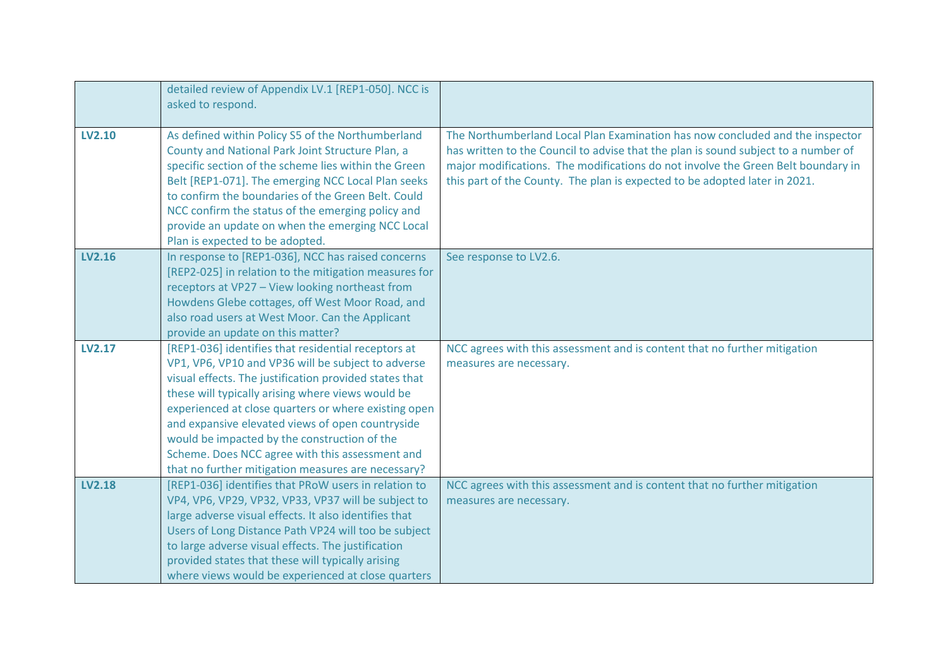|               | detailed review of Appendix LV.1 [REP1-050]. NCC is<br>asked to respond.                                                                                                                                                                                                                                                                                                                                                                                                                      |                                                                                                                                                                                                                                                                                                                                       |
|---------------|-----------------------------------------------------------------------------------------------------------------------------------------------------------------------------------------------------------------------------------------------------------------------------------------------------------------------------------------------------------------------------------------------------------------------------------------------------------------------------------------------|---------------------------------------------------------------------------------------------------------------------------------------------------------------------------------------------------------------------------------------------------------------------------------------------------------------------------------------|
| <b>LV2.10</b> | As defined within Policy S5 of the Northumberland<br>County and National Park Joint Structure Plan, a<br>specific section of the scheme lies within the Green<br>Belt [REP1-071]. The emerging NCC Local Plan seeks<br>to confirm the boundaries of the Green Belt. Could<br>NCC confirm the status of the emerging policy and<br>provide an update on when the emerging NCC Local<br>Plan is expected to be adopted.                                                                         | The Northumberland Local Plan Examination has now concluded and the inspector<br>has written to the Council to advise that the plan is sound subject to a number of<br>major modifications. The modifications do not involve the Green Belt boundary in<br>this part of the County. The plan is expected to be adopted later in 2021. |
| LV2.16        | In response to [REP1-036], NCC has raised concerns<br>[REP2-025] in relation to the mitigation measures for<br>receptors at VP27 - View looking northeast from<br>Howdens Glebe cottages, off West Moor Road, and<br>also road users at West Moor. Can the Applicant<br>provide an update on this matter?                                                                                                                                                                                     | See response to LV2.6.                                                                                                                                                                                                                                                                                                                |
| <b>LV2.17</b> | [REP1-036] identifies that residential receptors at<br>VP1, VP6, VP10 and VP36 will be subject to adverse<br>visual effects. The justification provided states that<br>these will typically arising where views would be<br>experienced at close quarters or where existing open<br>and expansive elevated views of open countryside<br>would be impacted by the construction of the<br>Scheme. Does NCC agree with this assessment and<br>that no further mitigation measures are necessary? | NCC agrees with this assessment and is content that no further mitigation<br>measures are necessary.                                                                                                                                                                                                                                  |
| <b>LV2.18</b> | [REP1-036] identifies that PRoW users in relation to<br>VP4, VP6, VP29, VP32, VP33, VP37 will be subject to<br>large adverse visual effects. It also identifies that<br>Users of Long Distance Path VP24 will too be subject<br>to large adverse visual effects. The justification<br>provided states that these will typically arising<br>where views would be experienced at close quarters                                                                                                 | NCC agrees with this assessment and is content that no further mitigation<br>measures are necessary.                                                                                                                                                                                                                                  |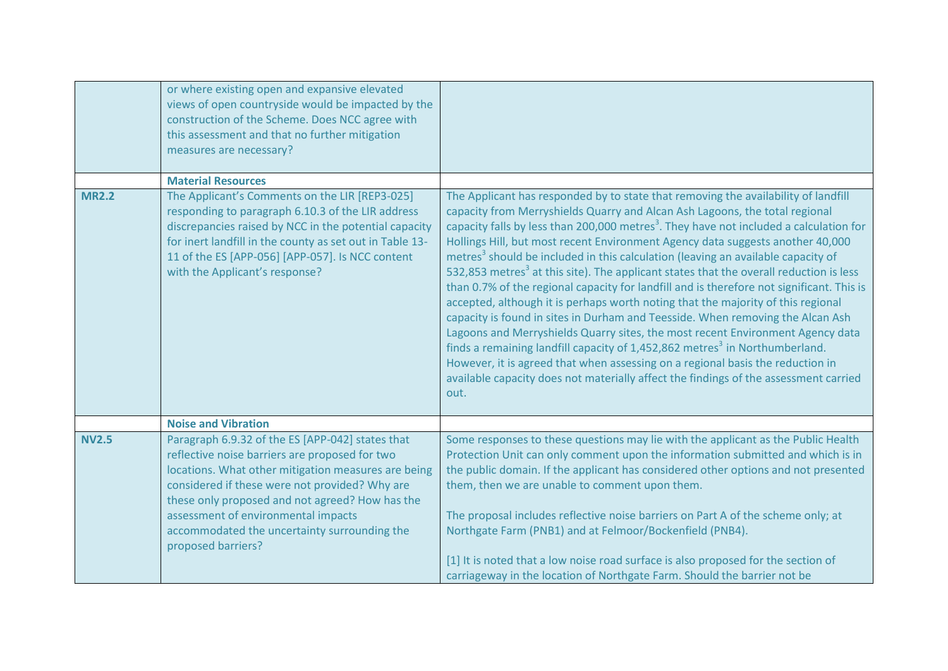|              | or where existing open and expansive elevated<br>views of open countryside would be impacted by the<br>construction of the Scheme. Does NCC agree with<br>this assessment and that no further mitigation<br>measures are necessary?                                                                                                                                         |                                                                                                                                                                                                                                                                                                                                                                                                                                                                                                                                                                                                                                                                                                                                                                                                                                                                                                                                                                                                                                                                                                                                                                                                   |
|--------------|-----------------------------------------------------------------------------------------------------------------------------------------------------------------------------------------------------------------------------------------------------------------------------------------------------------------------------------------------------------------------------|---------------------------------------------------------------------------------------------------------------------------------------------------------------------------------------------------------------------------------------------------------------------------------------------------------------------------------------------------------------------------------------------------------------------------------------------------------------------------------------------------------------------------------------------------------------------------------------------------------------------------------------------------------------------------------------------------------------------------------------------------------------------------------------------------------------------------------------------------------------------------------------------------------------------------------------------------------------------------------------------------------------------------------------------------------------------------------------------------------------------------------------------------------------------------------------------------|
|              | <b>Material Resources</b>                                                                                                                                                                                                                                                                                                                                                   |                                                                                                                                                                                                                                                                                                                                                                                                                                                                                                                                                                                                                                                                                                                                                                                                                                                                                                                                                                                                                                                                                                                                                                                                   |
| <b>MR2.2</b> | The Applicant's Comments on the LIR [REP3-025]<br>responding to paragraph 6.10.3 of the LIR address<br>discrepancies raised by NCC in the potential capacity<br>for inert landfill in the county as set out in Table 13-<br>11 of the ES [APP-056] [APP-057]. Is NCC content<br>with the Applicant's response?                                                              | The Applicant has responded by to state that removing the availability of landfill<br>capacity from Merryshields Quarry and Alcan Ash Lagoons, the total regional<br>capacity falls by less than 200,000 metres <sup>3</sup> . They have not included a calculation for<br>Hollings Hill, but most recent Environment Agency data suggests another 40,000<br>metres <sup>3</sup> should be included in this calculation (leaving an available capacity of<br>532,853 metres <sup>3</sup> at this site). The applicant states that the overall reduction is less<br>than 0.7% of the regional capacity for landfill and is therefore not significant. This is<br>accepted, although it is perhaps worth noting that the majority of this regional<br>capacity is found in sites in Durham and Teesside. When removing the Alcan Ash<br>Lagoons and Merryshields Quarry sites, the most recent Environment Agency data<br>finds a remaining landfill capacity of 1,452,862 metres <sup>3</sup> in Northumberland.<br>However, it is agreed that when assessing on a regional basis the reduction in<br>available capacity does not materially affect the findings of the assessment carried<br>out. |
|              | <b>Noise and Vibration</b>                                                                                                                                                                                                                                                                                                                                                  |                                                                                                                                                                                                                                                                                                                                                                                                                                                                                                                                                                                                                                                                                                                                                                                                                                                                                                                                                                                                                                                                                                                                                                                                   |
| <b>NV2.5</b> | Paragraph 6.9.32 of the ES [APP-042] states that<br>reflective noise barriers are proposed for two<br>locations. What other mitigation measures are being<br>considered if these were not provided? Why are<br>these only proposed and not agreed? How has the<br>assessment of environmental impacts<br>accommodated the uncertainty surrounding the<br>proposed barriers? | Some responses to these questions may lie with the applicant as the Public Health<br>Protection Unit can only comment upon the information submitted and which is in<br>the public domain. If the applicant has considered other options and not presented<br>them, then we are unable to comment upon them.<br>The proposal includes reflective noise barriers on Part A of the scheme only; at<br>Northgate Farm (PNB1) and at Felmoor/Bockenfield (PNB4).<br>[1] It is noted that a low noise road surface is also proposed for the section of<br>carriageway in the location of Northgate Farm. Should the barrier not be                                                                                                                                                                                                                                                                                                                                                                                                                                                                                                                                                                     |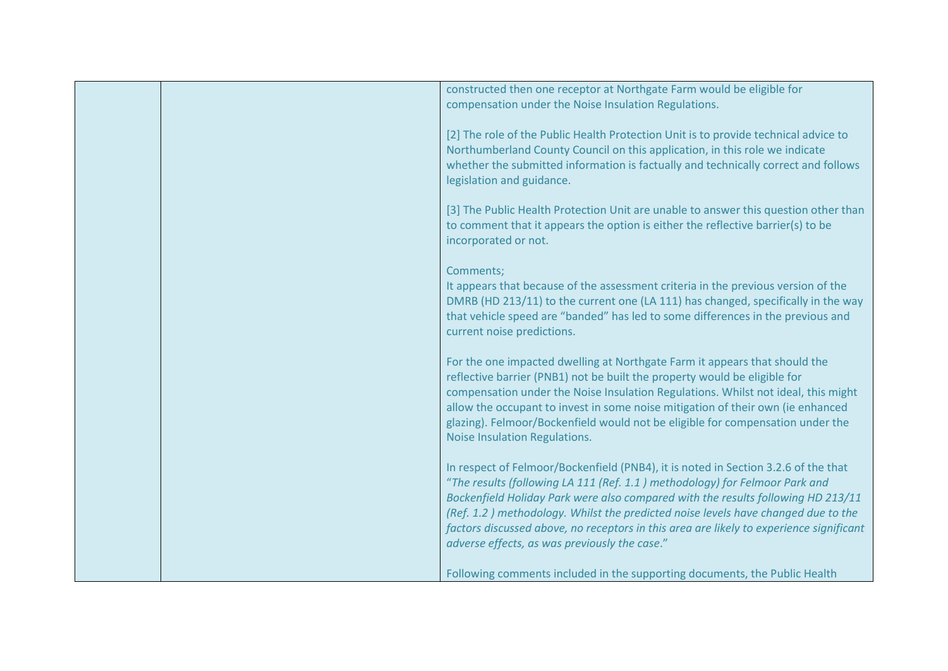|  | constructed then one receptor at Northgate Farm would be eligible for<br>compensation under the Noise Insulation Regulations.                                                                                                                                                                                                                                                                                                                                                          |
|--|----------------------------------------------------------------------------------------------------------------------------------------------------------------------------------------------------------------------------------------------------------------------------------------------------------------------------------------------------------------------------------------------------------------------------------------------------------------------------------------|
|  | [2] The role of the Public Health Protection Unit is to provide technical advice to<br>Northumberland County Council on this application, in this role we indicate<br>whether the submitted information is factually and technically correct and follows<br>legislation and guidance.                                                                                                                                                                                                  |
|  | [3] The Public Health Protection Unit are unable to answer this question other than<br>to comment that it appears the option is either the reflective barrier(s) to be<br>incorporated or not.                                                                                                                                                                                                                                                                                         |
|  | Comments;<br>It appears that because of the assessment criteria in the previous version of the<br>DMRB (HD 213/11) to the current one (LA 111) has changed, specifically in the way<br>that vehicle speed are "banded" has led to some differences in the previous and<br>current noise predictions.                                                                                                                                                                                   |
|  | For the one impacted dwelling at Northgate Farm it appears that should the<br>reflective barrier (PNB1) not be built the property would be eligible for<br>compensation under the Noise Insulation Regulations. Whilst not ideal, this might<br>allow the occupant to invest in some noise mitigation of their own (ie enhanced<br>glazing). Felmoor/Bockenfield would not be eligible for compensation under the<br>Noise Insulation Regulations.                                     |
|  | In respect of Felmoor/Bockenfield (PNB4), it is noted in Section 3.2.6 of the that<br>"The results (following LA 111 (Ref. 1.1) methodology) for Felmoor Park and<br>Bockenfield Holiday Park were also compared with the results following HD 213/11<br>(Ref. 1.2) methodology. Whilst the predicted noise levels have changed due to the<br>factors discussed above, no receptors in this area are likely to experience significant<br>adverse effects, as was previously the case." |
|  | Following comments included in the supporting documents, the Public Health                                                                                                                                                                                                                                                                                                                                                                                                             |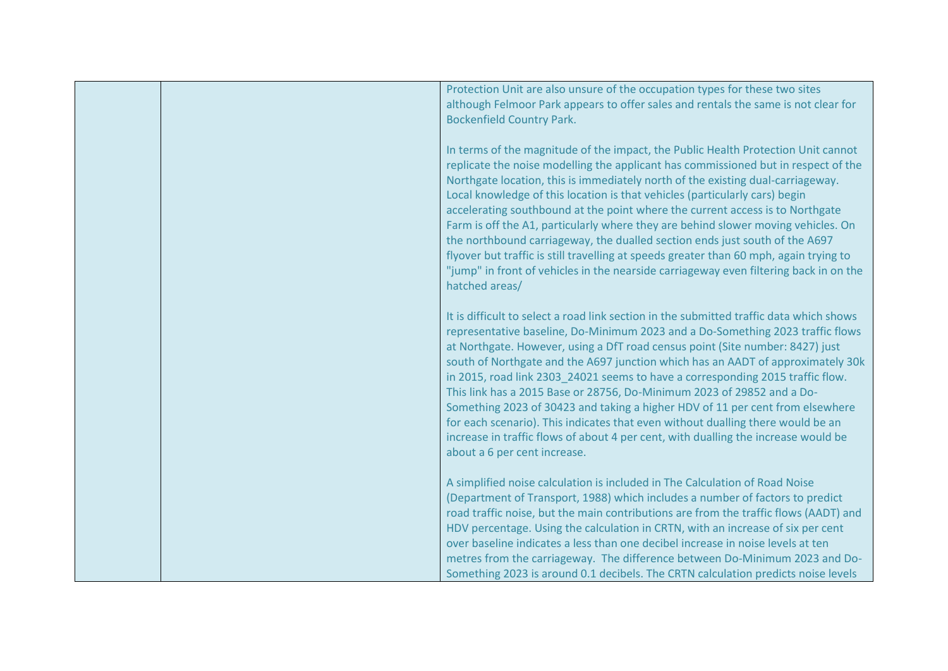|  | Protection Unit are also unsure of the occupation types for these two sites<br>although Felmoor Park appears to offer sales and rentals the same is not clear for<br><b>Bockenfield Country Park.</b>                                                                                                                                                                                                                                                                                                                                                                                                                                                                                                                                                                                               |
|--|-----------------------------------------------------------------------------------------------------------------------------------------------------------------------------------------------------------------------------------------------------------------------------------------------------------------------------------------------------------------------------------------------------------------------------------------------------------------------------------------------------------------------------------------------------------------------------------------------------------------------------------------------------------------------------------------------------------------------------------------------------------------------------------------------------|
|  | In terms of the magnitude of the impact, the Public Health Protection Unit cannot<br>replicate the noise modelling the applicant has commissioned but in respect of the<br>Northgate location, this is immediately north of the existing dual-carriageway.<br>Local knowledge of this location is that vehicles (particularly cars) begin<br>accelerating southbound at the point where the current access is to Northgate<br>Farm is off the A1, particularly where they are behind slower moving vehicles. On<br>the northbound carriageway, the dualled section ends just south of the A697<br>flyover but traffic is still travelling at speeds greater than 60 mph, again trying to<br>"jump" in front of vehicles in the nearside carriageway even filtering back in on the<br>hatched areas/ |
|  | It is difficult to select a road link section in the submitted traffic data which shows<br>representative baseline, Do-Minimum 2023 and a Do-Something 2023 traffic flows<br>at Northgate. However, using a DfT road census point (Site number: 8427) just<br>south of Northgate and the A697 junction which has an AADT of approximately 30k<br>in 2015, road link 2303_24021 seems to have a corresponding 2015 traffic flow.<br>This link has a 2015 Base or 28756, Do-Minimum 2023 of 29852 and a Do-<br>Something 2023 of 30423 and taking a higher HDV of 11 per cent from elsewhere<br>for each scenario). This indicates that even without dualling there would be an<br>increase in traffic flows of about 4 per cent, with dualling the increase would be<br>about a 6 per cent increase. |
|  | A simplified noise calculation is included in The Calculation of Road Noise<br>(Department of Transport, 1988) which includes a number of factors to predict<br>road traffic noise, but the main contributions are from the traffic flows (AADT) and<br>HDV percentage. Using the calculation in CRTN, with an increase of six per cent<br>over baseline indicates a less than one decibel increase in noise levels at ten<br>metres from the carriageway. The difference between Do-Minimum 2023 and Do-<br>Something 2023 is around 0.1 decibels. The CRTN calculation predicts noise levels                                                                                                                                                                                                      |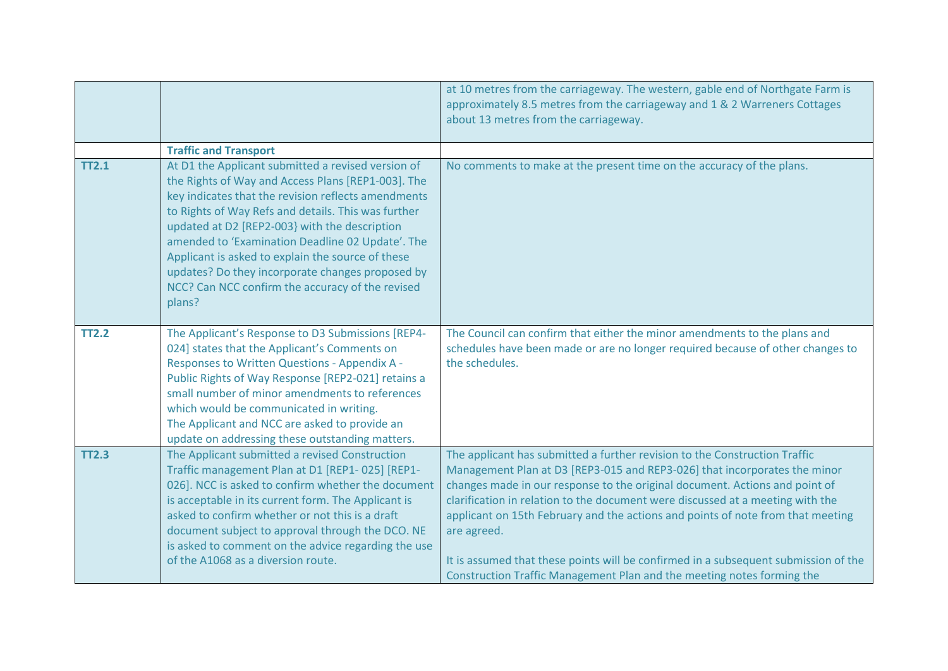|              |                                                                                                                                                                                                                                                                                                                                                                                                                                                                                                    | at 10 metres from the carriageway. The western, gable end of Northgate Farm is<br>approximately 8.5 metres from the carriageway and 1 & 2 Warreners Cottages<br>about 13 metres from the carriageway.                                                                                                                                                                                                                                                                                                                                                                                       |
|--------------|----------------------------------------------------------------------------------------------------------------------------------------------------------------------------------------------------------------------------------------------------------------------------------------------------------------------------------------------------------------------------------------------------------------------------------------------------------------------------------------------------|---------------------------------------------------------------------------------------------------------------------------------------------------------------------------------------------------------------------------------------------------------------------------------------------------------------------------------------------------------------------------------------------------------------------------------------------------------------------------------------------------------------------------------------------------------------------------------------------|
|              | <b>Traffic and Transport</b>                                                                                                                                                                                                                                                                                                                                                                                                                                                                       |                                                                                                                                                                                                                                                                                                                                                                                                                                                                                                                                                                                             |
| <b>TT2.1</b> | At D1 the Applicant submitted a revised version of<br>the Rights of Way and Access Plans [REP1-003]. The<br>key indicates that the revision reflects amendments<br>to Rights of Way Refs and details. This was further<br>updated at D2 [REP2-003] with the description<br>amended to 'Examination Deadline 02 Update'. The<br>Applicant is asked to explain the source of these<br>updates? Do they incorporate changes proposed by<br>NCC? Can NCC confirm the accuracy of the revised<br>plans? | No comments to make at the present time on the accuracy of the plans.                                                                                                                                                                                                                                                                                                                                                                                                                                                                                                                       |
| <b>TT2.2</b> | The Applicant's Response to D3 Submissions [REP4-<br>024] states that the Applicant's Comments on<br>Responses to Written Questions - Appendix A -<br>Public Rights of Way Response [REP2-021] retains a<br>small number of minor amendments to references<br>which would be communicated in writing.<br>The Applicant and NCC are asked to provide an<br>update on addressing these outstanding matters.                                                                                          | The Council can confirm that either the minor amendments to the plans and<br>schedules have been made or are no longer required because of other changes to<br>the schedules.                                                                                                                                                                                                                                                                                                                                                                                                               |
| <b>TT2.3</b> | The Applicant submitted a revised Construction<br>Traffic management Plan at D1 [REP1-025] [REP1-<br>026]. NCC is asked to confirm whether the document<br>is acceptable in its current form. The Applicant is<br>asked to confirm whether or not this is a draft<br>document subject to approval through the DCO. NE<br>is asked to comment on the advice regarding the use<br>of the A1068 as a diversion route.                                                                                 | The applicant has submitted a further revision to the Construction Traffic<br>Management Plan at D3 [REP3-015 and REP3-026] that incorporates the minor<br>changes made in our response to the original document. Actions and point of<br>clarification in relation to the document were discussed at a meeting with the<br>applicant on 15th February and the actions and points of note from that meeting<br>are agreed.<br>It is assumed that these points will be confirmed in a subsequent submission of the<br>Construction Traffic Management Plan and the meeting notes forming the |